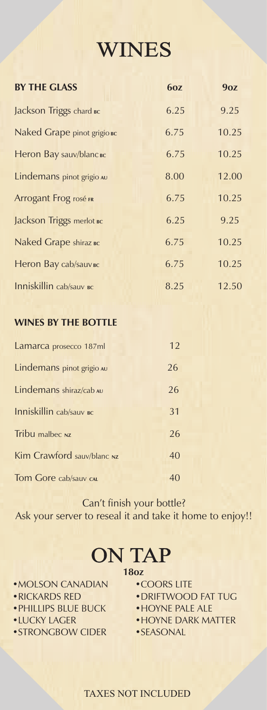# WINES

| <b>BY THE GLASS</b>         | 60Z  | 9oz   |
|-----------------------------|------|-------|
| Jackson Triggs chard Bc     | 6.25 | 9.25  |
| Naked Grape pinot grigio BC | 6.75 | 10.25 |
| Heron Bay sauv/blanc Bc     | 6.75 | 10.25 |
| Lindemans pinot grigio AU   | 8.00 | 12.00 |
| Arrogant Frog rosé FR       | 6.75 | 10.25 |
| Jackson Triggs merlot BC    | 6.25 | 9.25  |
| Naked Grape shiraz BC       | 6.75 | 10.25 |
| Heron Bay cab/sauv вс       | 6.75 | 10.25 |
| Inniskillin cab/sauv BC     | 8.25 | 12.50 |

### **WINES BY THE BOTTLE**

| Lamarca prosecco 187ml     | 12 |
|----------------------------|----|
| Lindemans pinot grigio AU  | 26 |
| Lindemans shiraz/cab AU    | 26 |
| Inniskillin cab/sauv BC    | 31 |
| Tribu malbec Nz            | 26 |
| Kim Crawford sauv/blanc Nz | 40 |
| Tom Gore cab/sauv car      |    |

Can't finish your bottle? Ask your server to reseal it and take it home to enjoy!!

# ON TAP

### **18oz**

•MOLSON CANADIAN

- •RICKARDS RED
- PHILLIPS BLUE BUCK
- LUCKY LAGER
- STRONGBOW CIDER
- •COORS LITE • DRIFTWOOD FAT TUG
- HOYNE PALE ALE
- HOYNE DARK MATTER
- SEASONAL

#### TAXES NOT INCLUDED